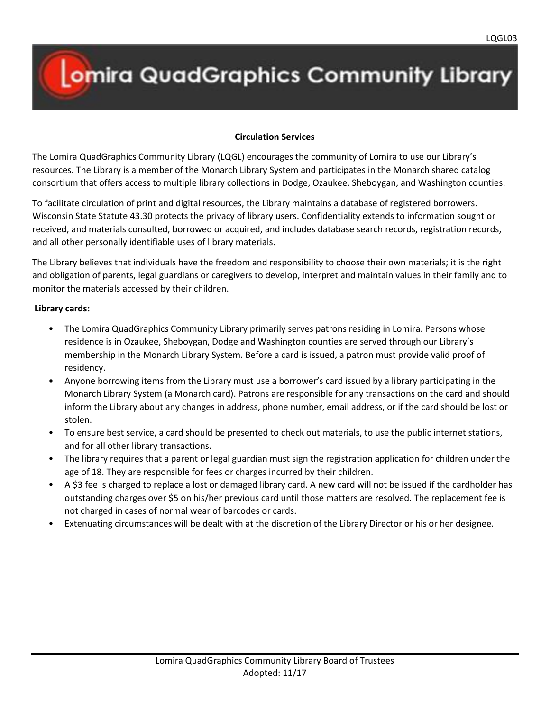# **Omira QuadGraphics Community Library**

#### **Circulation Services**

The Lomira QuadGraphics Community Library (LQGL) encourages the community of Lomira to use our Library's resources. The Library is a member of the Monarch Library System and participates in the Monarch shared catalog consortium that offers access to multiple library collections in Dodge, Ozaukee, Sheboygan, and Washington counties.

To facilitate circulation of print and digital resources, the Library maintains a database of registered borrowers. Wisconsin State Statute 43.30 protects the privacy of library users. Confidentiality extends to information sought or received, and materials consulted, borrowed or acquired, and includes database search records, registration records, and all other personally identifiable uses of library materials.

The Library believes that individuals have the freedom and responsibility to choose their own materials; it is the right and obligation of parents, legal guardians or caregivers to develop, interpret and maintain values in their family and to monitor the materials accessed by their children.

#### **Library cards:**

- The Lomira QuadGraphics Community Library primarily serves patrons residing in Lomira. Persons whose residence is in Ozaukee, Sheboygan, Dodge and Washington counties are served through our Library's membership in the Monarch Library System. Before a card is issued, a patron must provide valid proof of residency.
- Anyone borrowing items from the Library must use a borrower's card issued by a library participating in the Monarch Library System (a Monarch card). Patrons are responsible for any transactions on the card and should inform the Library about any changes in address, phone number, email address, or if the card should be lost or stolen.
- To ensure best service, a card should be presented to check out materials, to use the public internet stations, and for all other library transactions.
- The library requires that a parent or legal guardian must sign the registration application for children under the age of 18. They are responsible for fees or charges incurred by their children.
- A \$3 fee is charged to replace a lost or damaged library card. A new card will not be issued if the cardholder has outstanding charges over \$5 on his/her previous card until those matters are resolved. The replacement fee is not charged in cases of normal wear of barcodes or cards.
- Extenuating circumstances will be dealt with at the discretion of the Library Director or his or her designee.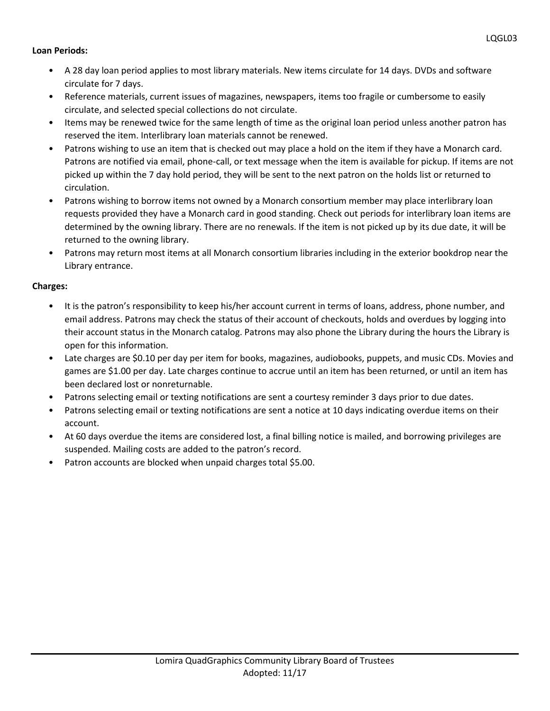## **Loan Periods:**

- A 28 day loan period applies to most library materials. New items circulate for 14 days. DVDs and software circulate for 7 days.
- Reference materials, current issues of magazines, newspapers, items too fragile or cumbersome to easily circulate, and selected special collections do not circulate.
- Items may be renewed twice for the same length of time as the original loan period unless another patron has reserved the item. Interlibrary loan materials cannot be renewed.
- Patrons wishing to use an item that is checked out may place a hold on the item if they have a Monarch card. Patrons are notified via email, phone-call, or text message when the item is available for pickup. If items are not picked up within the 7 day hold period, they will be sent to the next patron on the holds list or returned to circulation.
- Patrons wishing to borrow items not owned by a Monarch consortium member may place interlibrary loan requests provided they have a Monarch card in good standing. Check out periods for interlibrary loan items are determined by the owning library. There are no renewals. If the item is not picked up by its due date, it will be returned to the owning library.
- Patrons may return most items at all Monarch consortium libraries including in the exterior bookdrop near the Library entrance.

# **Charges:**

- It is the patron's responsibility to keep his/her account current in terms of loans, address, phone number, and email address. Patrons may check the status of their account of checkouts, holds and overdues by logging into their account status in the Monarch catalog. Patrons may also phone the Library during the hours the Library is open for this information.
- Late charges are \$0.10 per day per item for books, magazines, audiobooks, puppets, and music CDs. Movies and games are \$1.00 per day. Late charges continue to accrue until an item has been returned, or until an item has been declared lost or nonreturnable.
- Patrons selecting email or texting notifications are sent a courtesy reminder 3 days prior to due dates.
- Patrons selecting email or texting notifications are sent a notice at 10 days indicating overdue items on their account.
- At 60 days overdue the items are considered lost, a final billing notice is mailed, and borrowing privileges are suspended. Mailing costs are added to the patron's record.
- Patron accounts are blocked when unpaid charges total \$5.00.